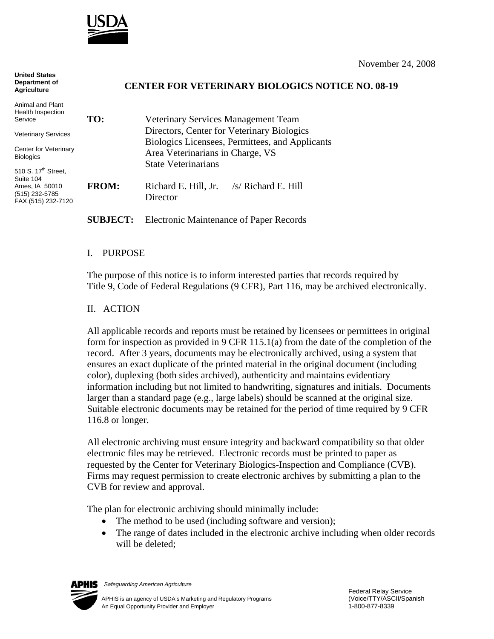

**United States** 

| umwu uwwa<br>Department of<br><b>Agriculture</b>                                                       | <b>CENTER FOR VETERINARY BIOLOGICS NOTICE NO. 08-19</b> |                                                                                               |
|--------------------------------------------------------------------------------------------------------|---------------------------------------------------------|-----------------------------------------------------------------------------------------------|
| Animal and Plant<br>Health Inspection<br>Service                                                       | TO:                                                     | Veterinary Services Management Team                                                           |
| <b>Veterinary Services</b>                                                                             |                                                         | Directors, Center for Veterinary Biologics<br>Biologics Licensees, Permittees, and Applicants |
| Center for Veterinary<br><b>Biologics</b>                                                              |                                                         | Area Veterinarians in Charge, VS<br><b>State Veterinarians</b>                                |
| 510 S. 17 <sup>th</sup> Street,<br>Suite 104<br>Ames, IA 50010<br>(515) 232-5785<br>FAX (515) 232-7120 | <b>FROM:</b>                                            | $/s/$ Richard E. Hill<br>Richard E. Hill, Jr.<br>Director                                     |

## **SUBJECT:** Electronic Maintenance of Paper Records

## I. PURPOSE

The purpose of this notice is to inform interested parties that records required by Title 9, Code of Federal Regulations (9 CFR), Part 116, may be archived electronically.

## II. ACTION

All applicable records and reports must be retained by licensees or permittees in original form for inspection as provided in 9 CFR 115.1(a) from the date of the completion of the record. After 3 years, documents may be electronically archived, using a system that ensures an exact duplicate of the printed material in the original document (including color), duplexing (both sides archived), authenticity and maintains evidentiary information including but not limited to handwriting, signatures and initials. Documents larger than a standard page (e.g., large labels) should be scanned at the original size. Suitable electronic documents may be retained for the period of time required by 9 CFR 116.8 or longer.

All electronic archiving must ensure integrity and backward compatibility so that older electronic files may be retrieved. Electronic records must be printed to paper as requested by the Center for Veterinary Biologics-Inspection and Compliance (CVB). Firms may request permission to create electronic archives by submitting a plan to the CVB for review and approval.

The plan for electronic archiving should minimally include:

- The method to be used (including software and version);
- The range of dates included in the electronic archive including when older records will be deleted;



*Safeguarding American Agriculture*